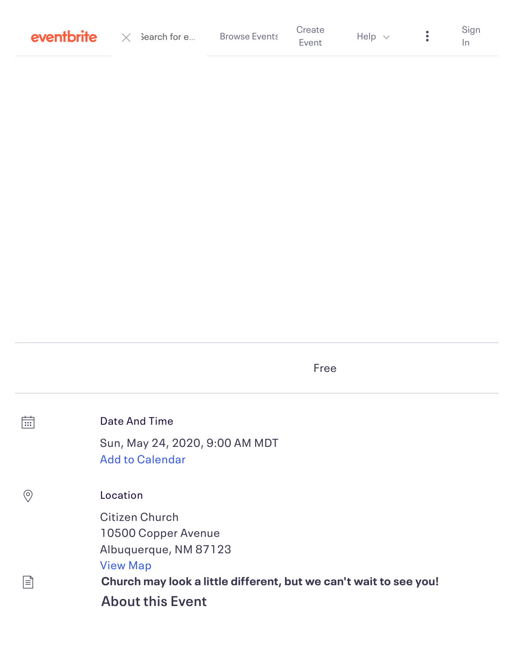| Create<br><b>Browse Events</b><br><b>eventbrite</b> $\times$ 3earch for e<br>Help $\vee$<br>Event | Sign |
|---------------------------------------------------------------------------------------------------|------|
|---------------------------------------------------------------------------------------------------|------|

Free

| 崗   | Date And Time                                                     |
|-----|-------------------------------------------------------------------|
|     | Sun, May 24, 2020, 9:00 AM MDT<br><b>Add to Calendar</b>          |
| (၀) | Location                                                          |
|     | <b>Citizen Church</b>                                             |
|     | 10500 Copper Avenue                                               |
|     | Albuquerque, NM 87123                                             |
|     | <b>View Map</b>                                                   |
| ן≡∣ | Church may look a little different, but we can't wait to see you! |
|     | <b>About this Event</b>                                           |
|     |                                                                   |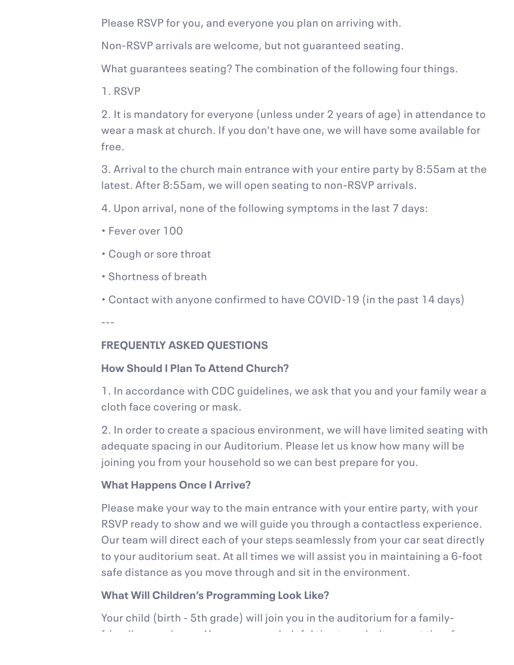Please RSVP for you, and everyone you plan on arriving with.

Non-RSVP arrivals are welcome, but not guaranteed seating.

What guarantees seating? The combination of the following four things.

1. RSVP

2. It is mandatory for everyone (unless under 2 years of age) in attendance to wear a mask at church. If you don't have one, we will have some available for free.

3. Arrival to the church main entrance with your entire party by 8:55am at the latest. After 8:55am, we will open seating to non-RSVP arrivals.

4. Upon arrival, none of the following symptoms in the last 7 days:

- Fever over 100
- Cough or sore throat
- Shortness of breath

• Contact with anyone confirmed to have COVID-19 (in the past 14 days)

---

# **FREQUENTLY ASKED QUESTIONS**

# **How Should I Plan To Attend Church?**

1. In accordance with CDC guidelines, we ask that you and your family wear a cloth face covering or mask.

2. In order to create a spacious environment, we will have limited seating with adequate spacing in our Auditorium. Please let us know how many will be joining you from your household so we can best prepare for you.

# **What Happens Once I Arrive?**

Please make your way to the main entrance with your entire party, with your RSVP ready to show and we will guide you through a contactless experience. Our team will direct each of your steps seamlessly from your car seat directly to your auditorium seat. At all times we will assist you in maintaining a 6-foot safe distance as you move through and sit in the environment.

# **What Will Children's Programming Look Like?**

Your child (birth - 5th grade) will join you in the auditorium for a familyfriendly experience. Here are some helpful tips to make it a great time for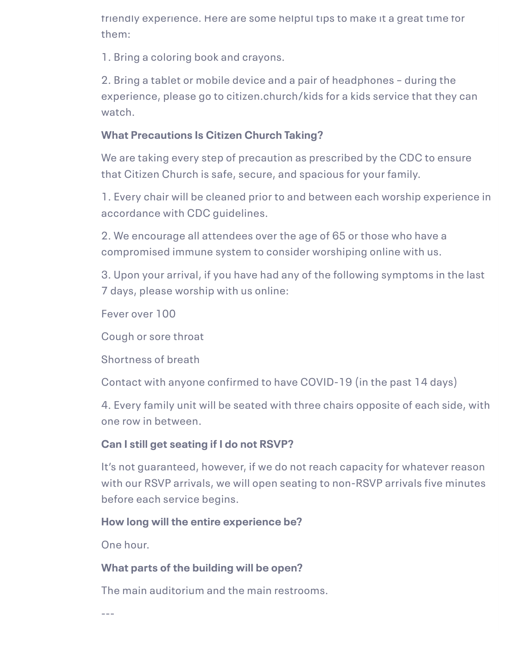friendly experience. Here are some helpful tips to make it a great time for them:

1. Bring a coloring book and crayons.

2. Bring a tablet or mobile device and a pair of headphones – during the experience, please go to citizen.church/kids for a kids service that they can watch.

## **What Precautions Is Citizen Church Taking?**

We are taking every step of precaution as prescribed by the CDC to ensure that Citizen Church is safe, secure, and spacious for your family.

1. Every chair will be cleaned prior to and between each worship experience in accordance with CDC guidelines.

2. We encourage all attendees over the age of 65 or those who have a compromised immune system to consider worshiping online with us.

3. Upon your arrival, if you have had any of the following symptoms in the last 7 days, please worship with us online:

Fever over 100

Cough or sore throat

Shortness of breath

Contact with anyone confirmed to have COVID-19 (in the past 14 days)

4. Every family unit will be seated with three chairs opposite of each side, with one row in between.

## **Can I still get seating if I do not RSVP?**

It's not guaranteed, however, if we do not reach capacity for whatever reason with our RSVP arrivals, we will open seating to non-RSVP arrivals five minutes before each service begins.

## **How long will the entire experience be?**

One hour.

## **What parts of the building will be open?**

The main auditorium and the main restrooms.

 $-$ --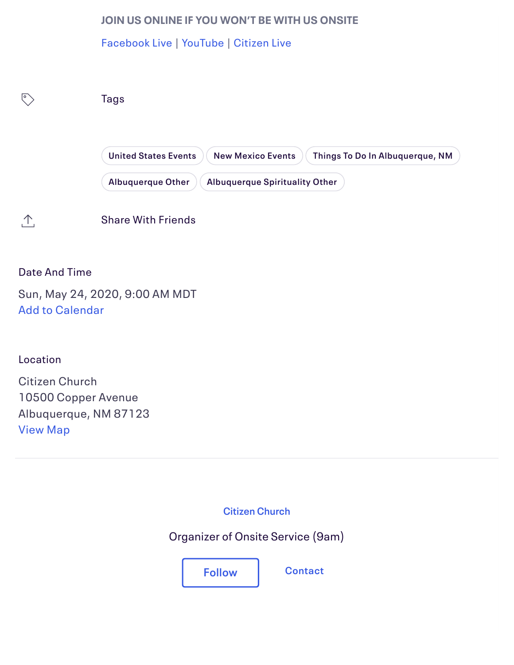### **JOIN US ONLINE IF YOU WON'T BE WITH US ONSITE**

[Facebook Live](http://www.facebook.com/citizenchurch.abq) | [YouTube](http://www.youtube.com/citizenchurch) | [Citizen Live](https://citizen.online.church/)



### Date And Time

Sun, May 24, 2020, 9:00 AM MDT Add to Calendar

Location

Citizen Church 10500 Copper Avenue Albuquerque, NM 87123 [View Map](#page-4-0)

**[Citizen Church](https://www.eventbrite.com/o/citizen-church-30253335238)**

Organizer of Onsite Service (9am)

**Follow [Contact](https://www.eventbrite.com/e/onsite-service-9am-tickets-106005284660?aff=ebdssbdestsearch%23)**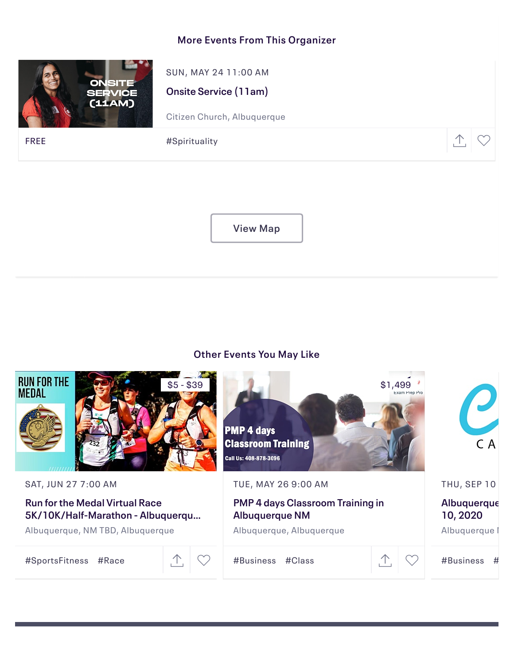### **More Events From This Organizer**



SUN, MAY 24 11:00 AM

**Onsite Service (11am)**

[Citizen Church, Albuquerque](https://www.eventbrite.com/e/onsite-service-11am-tickets-106011814190?aff=erelpanelorg)

<span id="page-4-0"></span>FREE  $\begin{array}{ccc} & & \# \mathsf{Spirituality} \end{array}$ 



**[View Map](https://maps.google.com/maps?hl=en&q=35.07917179999999,-106.5263058&sll=35.07917179999999,-106.5263058&z=13&markers=35.07917179999999,-106.5263058)**

#### **Other Events You May Like**